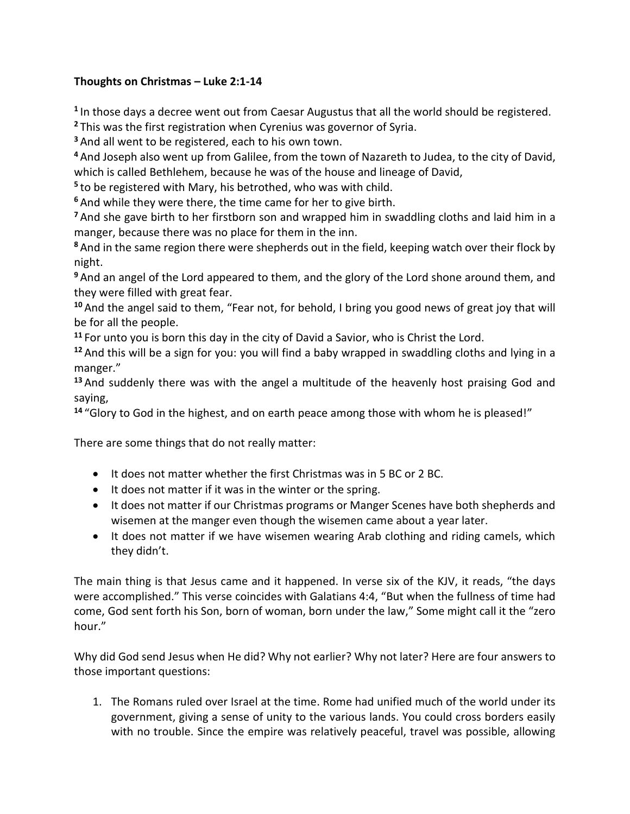## **Thoughts on Christmas – Luke 2:1-14**

**1** In those days a decree went out from Caesar Augustus that all the world should be registered.

**<sup>2</sup>** This was the first registration when Cyrenius was governor of Syria.

**<sup>3</sup>** And all went to be registered, each to his own town.

**<sup>4</sup>** And Joseph also went up from Galilee, from the town of Nazareth to Judea, to the city of David, which is called Bethlehem, because he was of the house and lineage of David,

**5** to be registered with Mary, his betrothed, who was with child.

**<sup>6</sup>** And while they were there, the time came for her to give birth.

**<sup>7</sup>** And she gave birth to her firstborn son and wrapped him in swaddling cloths and laid him in a manger, because there was no place for them in the inn.

**<sup>8</sup>** And in the same region there were shepherds out in the field, keeping watch over their flock by night.

**<sup>9</sup>** And an angel of the Lord appeared to them, and the glory of the Lord shone around them, and they were filled with great fear.

**<sup>10</sup>** And the angel said to them, "Fear not, for behold, I bring you good news of great joy that will be for all the people.

**<sup>11</sup>** For unto you is born this day in the city of David a Savior, who is Christ the Lord.

**<sup>12</sup>** And this will be a sign for you: you will find a baby wrapped in swaddling cloths and lying in a manger."

**<sup>13</sup>** And suddenly there was with the angel a multitude of the heavenly host praising God and saying,

**<sup>14</sup>** "Glory to God in the highest, and on earth peace among those with whom he is pleased!"

There are some things that do not really matter:

- It does not matter whether the first Christmas was in 5 BC or 2 BC.
- It does not matter if it was in the winter or the spring.
- It does not matter if our Christmas programs or Manger Scenes have both shepherds and wisemen at the manger even though the wisemen came about a year later.
- It does not matter if we have wisemen wearing Arab clothing and riding camels, which they didn't.

The main thing is that Jesus came and it happened. In verse six of the KJV, it reads, "the days were accomplished." This verse coincides with Galatians 4:4, "But when the fullness of time had come, God sent forth his Son, born of woman, born under the law," Some might call it the "zero hour."

Why did God send Jesus when He did? Why not earlier? Why not later? Here are four answers to those important questions:

1. The Romans ruled over Israel at the time. Rome had unified much of the world under its government, giving a sense of unity to the various lands. You could cross borders easily with no trouble. Since the empire was relatively peaceful, travel was possible, allowing